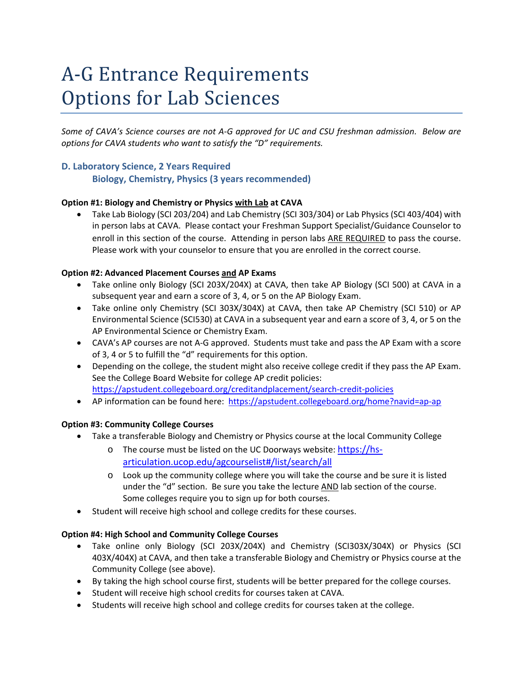# A-G Entrance Requirements **Options for Lab Sciences**

*Some of CAVA's Science courses are not A‐G approved for UC and CSU freshman admission. Below are options for CAVA students who want to satisfy the "D" requirements.* 

# **D. Laboratory Science, 2 Years Required Biology, Chemistry, Physics (3 years recommended)**

# **Option #1: Biology and Chemistry or Physics with Lab at CAVA**

 Take Lab Biology (SCI 203/204) and Lab Chemistry (SCI 303/304) or Lab Physics (SCI 403/404) with in person labs at CAVA. Please contact your Freshman Support Specialist/Guidance Counselor to enroll in this section of the course. Attending in person labs ARE REQUIRED to pass the course. Please work with your counselor to ensure that you are enrolled in the correct course.

### **Option #2: Advanced Placement Courses and AP Exams**

- Take online only Biology (SCI 203X/204X) at CAVA, then take AP Biology (SCI 500) at CAVA in a subsequent year and earn a score of 3, 4, or 5 on the AP Biology Exam.
- Take online only Chemistry (SCI 303X/304X) at CAVA, then take AP Chemistry (SCI 510) or AP Environmental Science (SCI530) at CAVA in a subsequent year and earn a score of 3, 4, or 5 on the AP Environmental Science or Chemistry Exam.
- CAVA's AP courses are not A-G approved. Students must take and pass the AP Exam with a score of 3, 4 or 5 to fulfill the "d" requirements for this option.
- Depending on the college, the student might also receive college credit if they pass the AP Exam. See the College Board Website for college AP credit policies: https://apstudent.collegeboard.org/creditandplacement/search‐credit‐policies
- AP information can be found here: https://apstudent.collegeboard.org/home?navid=ap-ap

# **Option #3: Community College Courses**

- Take a transferable Biology and Chemistry or Physics course at the local Community College
	- o The course must be listed on the UC Doorways website: https://hs‐ articulation.ucop.edu/agcourselist#/list/search/all
	- o Look up the community college where you will take the course and be sure it is listed under the "d" section. Be sure you take the lecture  $\Delta N_D$  lab section of the course. Some colleges require you to sign up for both courses.
- Student will receive high school and college credits for these courses.

# **Option #4: High School and Community College Courses**

- Take online only Biology (SCI 203X/204X) and Chemistry (SCI303X/304X) or Physics (SCI 403X/404X) at CAVA, and then take a transferable Biology and Chemistry or Physics course at the Community College (see above).
- By taking the high school course first, students will be better prepared for the college courses.
- Student will receive high school credits for courses taken at CAVA.
- Students will receive high school and college credits for courses taken at the college.